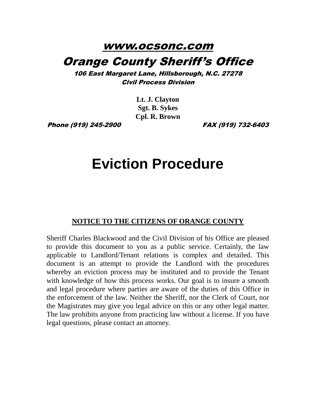## www.ocsonc.com Orange County Sheriff's Office

106 East Margaret Lane, Hillsborough, N.C. 27278 Civil Process Division

> **Lt. J. Clayton Sgt. B. Sykes Cpl. R. Brown**

Phone (919) 245-2900 FAX (919) 732-6403

## **Eviction Procedure**

## **NOTICE TO THE CITIZENS OF ORANGE COUNTY**

Sheriff Charles Blackwood and the Civil Division of his Office are pleased to provide this document to you as a public service. Certainly, the law applicable to Landlord/Tenant relations is complex and detailed. This document is an attempt to provide the Landlord with the procedures whereby an eviction process may be instituted and to provide the Tenant with knowledge of how this process works. Our goal is to insure a smooth and legal procedure where parties are aware of the duties of this Office in the enforcement of the law. Neither the Sheriff, nor the Clerk of Court, nor the Magistrates may give you legal advice on this or any other legal matter. The law prohibits anyone from practicing law without a license. If you have legal questions, please contact an attorney.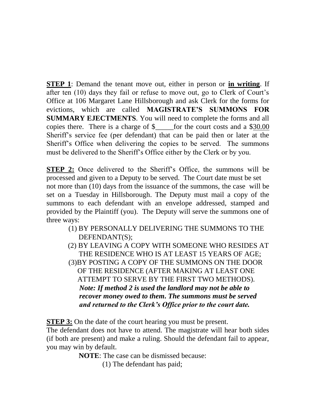**STEP 1**: Demand the tenant move out, either in person or **in writing**. If after ten (10) days they fail or refuse to move out, go to Clerk of Court's Office at 106 Margaret Lane Hillsborough and ask Clerk for the forms for evictions, which are called **MAGISTRATE'S SUMMONS FOR SUMMARY EJECTMENTS**. You will need to complete the forms and all copies there. There is a charge of \$\_\_\_\_\_for the court costs and a \$30.00 Sheriff's service fee (per defendant) that can be paid then or later at the Sheriff's Office when delivering the copies to be served. The summons must be delivered to the Sheriff's Office either by the Clerk or by you.

**STEP 2:** Once delivered to the Sheriff's Office, the summons will be processed and given to a Deputy to be served. The Court date must be set not more than (10) days from the issuance of the summons, the case will be set on a Tuesday in Hillsborough. The Deputy must mail a copy of the summons to each defendant with an envelope addressed, stamped and provided by the Plaintiff (you). The Deputy will serve the summons one of three ways:

- (1) BY PERSONALLY DELIVERING THE SUMMONS TO THE DEFENDANT(S);
- (2) BY LEAVING A COPY WITH SOMEONE WHO RESIDES AT THE RESIDENCE WHO IS AT LEAST 15 YEARS OF AGE; (3)BY POSTING A COPY OF THE SUMMONS ON THE DOOR OF THE RESIDENCE (AFTER MAKING AT LEAST ONE ATTEMPT TO SERVE BY THE FIRST TWO METHODS). *Note: If method 2 is used the landlord may not be able to recover money owed to them. The summons must be served and returned to the Clerk's Office prior to the court date.*

**STEP 3:** On the date of the court hearing you must be present.

The defendant does not have to attend. The magistrate will hear both sides (if both are present) and make a ruling. Should the defendant fail to appear, you may win by default.

**NOTE**: The case can be dismissed because:

(1) The defendant has paid;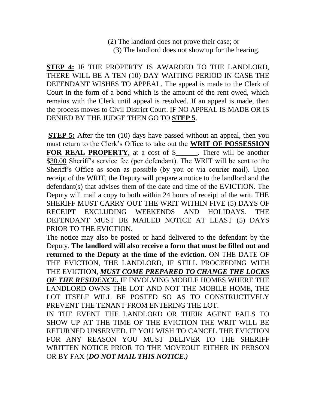(2) The landlord does not prove their case; or (3) The landlord does not show up for the hearing.

**STEP 4:** IF THE PROPERTY IS AWARDED TO THE LANDLORD, THERE WILL BE A TEN (10) DAY WAITING PERIOD IN CASE THE DEFENDANT WISHES TO APPEAL. The appeal is made to the Clerk of Court in the form of a bond which is the amount of the rent owed, which remains with the Clerk until appeal is resolved. If an appeal is made, then the process moves to Civil District Court. IF NO APPEAL IS MADE OR IS DENIED BY THE JUDGE THEN GO TO **STEP 5**.

**STEP 5:** After the ten (10) days have passed without an appeal, then you must return to the Clerk's Office to take out the **WRIT OF POSSESSION FOR REAL PROPERTY**, at a cost of \$\_\_\_\_\_\_. There will be another \$30.00 Sheriff's service fee (per defendant). The WRIT will be sent to the Sheriff's Office as soon as possible (by you or via courier mail). Upon receipt of the WRIT, the Deputy will prepare a notice to the landlord and the defendant(s) that advises them of the date and time of the EVICTION. The Deputy will mail a copy to both within 24 hours of receipt of the writ. THE SHERIFF MUST CARRY OUT THE WRIT WITHIN FIVE (5) DAYS OF RECEIPT EXCLUDING WEEKENDS AND HOLIDAYS. THE DEFENDANT MUST BE MAILED NOTICE AT LEAST (5) DAYS PRIOR TO THE EVICTION.

The notice may also be posted or hand delivered to the defendant by the Deputy. **The landlord will also receive a form that must be filled out and returned to the Deputy at the time of the eviction**. ON THE DATE OF THE EVICTION, THE LANDLORD, IF STILL PROCEEDING WITH THE EVICTION, *MUST COME PREPARED TO CHANGE THE LOCKS OF THE RESIDENCE.* IF INVOLVING MOBILE HOMES WHERE THE LANDLORD OWNS THE LOT AND NOT THE MOBILE HOME, THE LOT ITSELF WILL BE POSTED SO AS TO CONSTRUCTIVELY PREVENT THE TENANT FROM ENTERING THE LOT.

IN THE EVENT THE LANDLORD OR THEIR AGENT FAILS TO SHOW UP AT THE TIME OF THE EVICTION THE WRIT WILL BE RETURNED UNSERVED. IF YOU WISH TO CANCEL THE EVICTION FOR ANY REASON YOU MUST DELIVER TO THE SHERIFF WRITTEN NOTICE PRIOR TO THE MOVEOUT EITHER IN PERSON OR BY FAX (*DO NOT MAIL THIS NOTICE.)*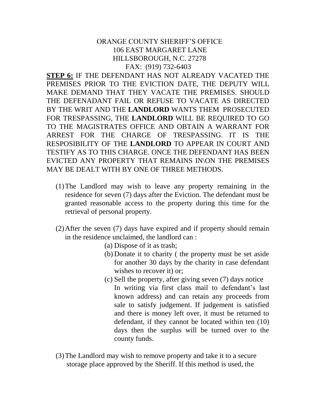## ORANGE COUNTY SHERIFF'S OFFICE 106 EAST MARGARET LANE HILLSBOROUGH, N.C. 27278 FAX: (919) 732-6403

**STEP 6:** IF THE DEFENDANT HAS NOT ALREADY VACATED THE PREMISES PRIOR TO THE EVICTION DATE, THE DEPUTY WILL MAKE DEMAND THAT THEY VACATE THE PREMISES. SHOULD THE DEFENADANT FAIL OR REFUSE TO VACATE AS DIRECTED BY THE WRIT AND THE **LANDLORD** WANTS THEM PROSECUTED FOR TRESPASSING, THE **LANDLORD** WILL BE REQUIRED TO GO TO THE MAGISTRATES OFFICE AND OBTAIN A WARRANT FOR ARREST FOR THE CHARGE OF TRESPASSING. IT IS THE RESPOSIBILITY OF THE **LANDLORD** TO APPEAR IN COURT AND TESTIFY AS TO THIS CHARGE. ONCE THE DEFENDANT HAS BEEN EVICTED ANY PROPERTY THAT REMAINS IN\ON THE PREMISES MAY BE DEALT WITH BY ONE OF THREE METHODS.

- (1)The Landlord may wish to leave any property remaining in the residence for seven (7) days after the Eviction. The defendant must be granted reasonable access to the property during this time for the retrieval of personal property.
- (2)After the seven (7) days have expired and if property should remain in the residence unclaimed, the landlord can :
	- (a) Dispose of it as trash;
	- (b) Donate it to charity ( the property must be set aside for another 30 days by the charity in case defendant wishes to recover it) or;
	- (c) Sell the property, after giving seven (7) days notice In writing via first class mail to defendant's last known address) and can retain any proceeds from sale to satisfy judgement. If judgement is satisfied and there is money left over, it must be returned to defendant, if they cannot be located within ten (10) days then the surplus will be turned over to the county funds.
- (3)The Landlord may wish to remove property and take it to a secure storage place approved by the Sheriff. If this method is used, the